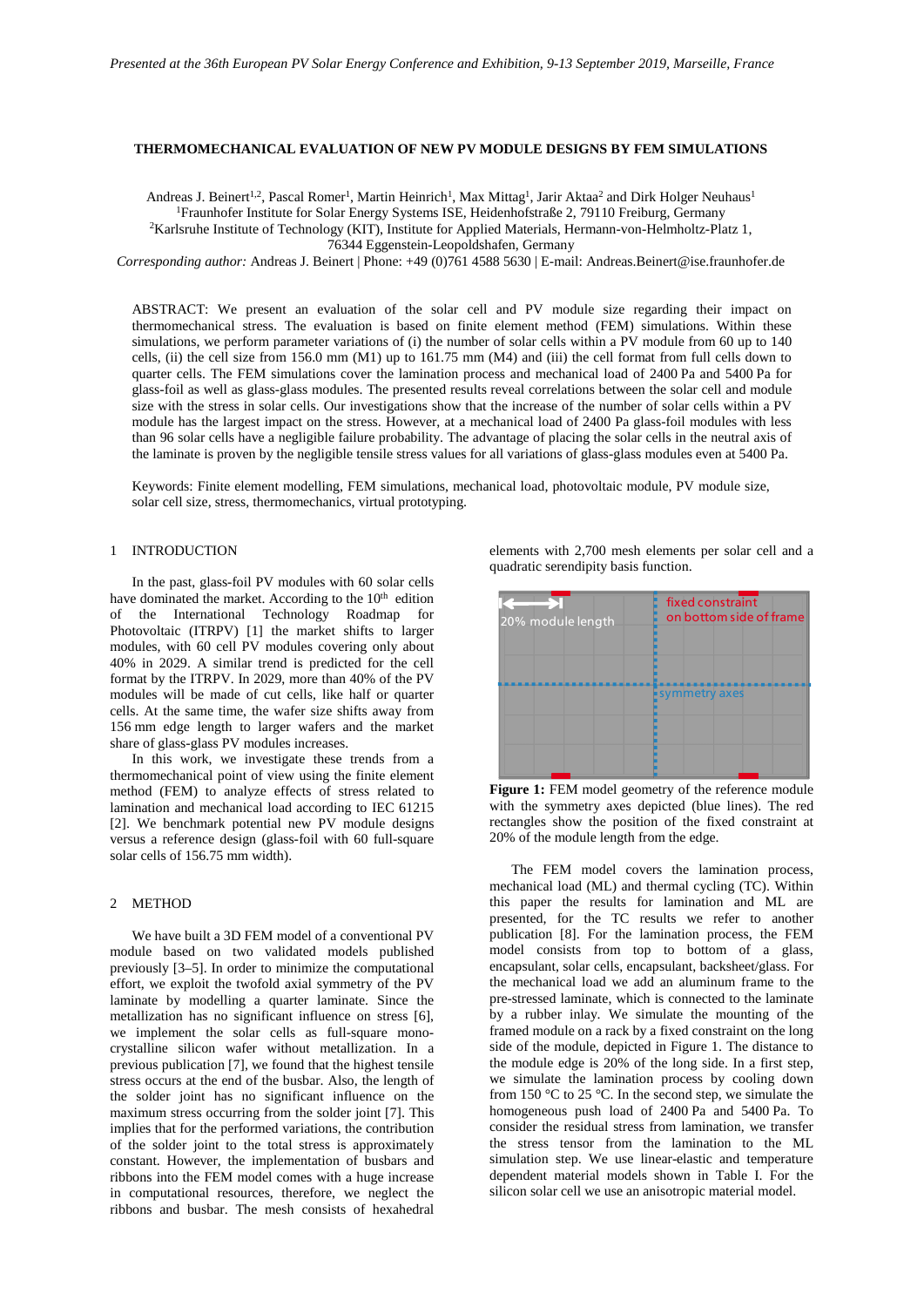## **THERMOMECHANICAL EVALUATION OF NEW PV MODULE DESIGNS BY FEM SIMULATIONS**

Andreas J. Beinert<sup>1,2</sup>, Pascal Romer<sup>1</sup>, Martin Heinrich<sup>1</sup>, Max Mittag<sup>1</sup>, Jarir Aktaa<sup>2</sup> and Dirk Holger Neuhaus<sup>1</sup> 1Fraunhofer Institute for Solar Energy Systems ISE, Heidenhofstraße 2, 79110 Freiburg, Germany 2Karlsruhe Institute of Technology (KIT), Institute for Applied Materials, Hermann-von-Helmholtz-Platz 1,

76344 Eggenstein-Leopoldshafen, Germany

*Corresponding author:* Andreas J. Beinert | Phone: +49 (0)761 4588 5630 | E-mail: Andreas.Beinert@ise.fraunhofer.de

ABSTRACT: We present an evaluation of the solar cell and PV module size regarding their impact on thermomechanical stress. The evaluation is based on finite element method (FEM) simulations. Within these simulations, we perform parameter variations of (i) the number of solar cells within a PV module from 60 up to 140 cells, (ii) the cell size from 156.0 mm (M1) up to 161.75 mm (M4) and (iii) the cell format from full cells down to quarter cells. The FEM simulations cover the lamination process and mechanical load of 2400 Pa and 5400 Pa for glass-foil as well as glass-glass modules. The presented results reveal correlations between the solar cell and module size with the stress in solar cells. Our investigations show that the increase of the number of solar cells within a PV module has the largest impact on the stress. However, at a mechanical load of 2400 Pa glass-foil modules with less than 96 solar cells have a negligible failure probability. The advantage of placing the solar cells in the neutral axis of the laminate is proven by the negligible tensile stress values for all variations of glass-glass modules even at 5400 Pa.

Keywords: Finite element modelling, FEM simulations, mechanical load, photovoltaic module, PV module size, solar cell size, stress, thermomechanics, virtual prototyping.

# 1 INTRODUCTION

In the past, glass-foil PV modules with 60 solar cells have dominated the market. According to the 10<sup>th</sup> edition of the International Technology Roadmap for Photovoltaic (ITRPV) [\[1\]](#page-5-0) the market shifts to larger modules, with 60 cell PV modules covering only about 40% in 2029. A similar trend is predicted for the cell format by the ITRPV. In 2029, more than 40% of the PV modules will be made of cut cells, like half or quarter cells. At the same time, the wafer size shifts away from 156 mm edge length to larger wafers and the market share of glass-glass PV modules increases.

In this work, we investigate these trends from a thermomechanical point of view using the finite element method (FEM) to analyze effects of stress related to lamination and mechanical load according to IEC 61215 [\[2\].](#page-5-1) We benchmark potential new PV module designs versus a reference design (glass-foil with 60 full-square solar cells of 156.75 mm width).

#### 2 METHOD

We have built a 3D FEM model of a conventional PV module based on two validated models published previousl[y \[3–5\].](#page-5-2) In order to minimize the computational effort, we exploit the twofold axial symmetry of the PV laminate by modelling a quarter laminate. Since the metallization has no significant influence on stress [\[6\],](#page-5-3)  we implement the solar cells as full-square monocrystalline silicon wafer without metallization. In a previous publication [\[7\],](#page-5-4) we found that the highest tensile stress occurs at the end of the busbar. Also, the length of the solder joint has no significant influence on the maximum stress occurring from the solder joint [\[7\].](#page-5-4) This implies that for the performed variations, the contribution of the solder joint to the total stress is approximately constant. However, the implementation of busbars and ribbons into the FEM model comes with a huge increase in computational resources, therefore, we neglect the ribbons and busbar. The mesh consists of hexahedral

elements with 2,700 mesh elements per solar cell and a quadratic serendipity basis function.



<span id="page-0-0"></span>Figure 1: FEM model geometry of the reference module with the symmetry axes depicted (blue lines). The red rectangles show the position of the fixed constraint at 20% of the module length from the edge.

The FEM model covers the lamination process, mechanical load (ML) and thermal cycling (TC). Within this paper the results for lamination and ML are presented, for the TC results we refer to another publication [\[8\].](#page-5-5) For the lamination process, the FEM model consists from top to bottom of a glass, encapsulant, solar cells, encapsulant, backsheet/glass. For the mechanical load we add an aluminum frame to the pre-stressed laminate, which is connected to the laminate by a rubber inlay. We simulate the mounting of the framed module on a rack by a fixed constraint on the long side of the module, depicted in [Figure 1.](#page-0-0) The distance to the module edge is 20% of the long side. In a first step, we simulate the lamination process by cooling down from 150 °C to 25 °C. In the second step, we simulate the homogeneous push load of 2400 Pa and 5400 Pa. To consider the residual stress from lamination, we transfer the stress tensor from the lamination to the ML simulation step. We use linear-elastic and temperature dependent material models shown in [Table I.](#page-1-0) For the silicon solar cell we use an anisotropic material model.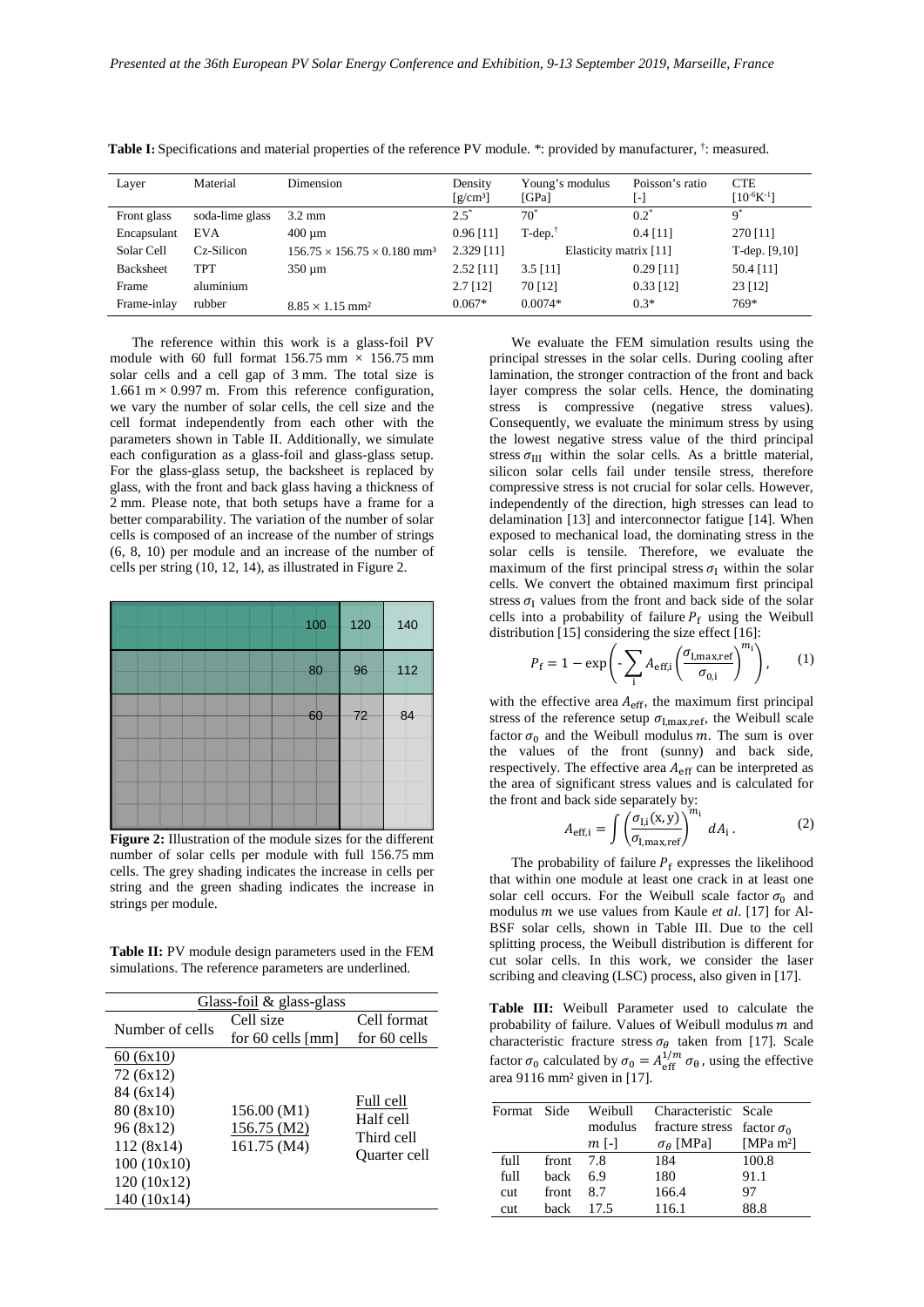| Layer       | Material        | Dimension                                           | Density<br>$\left[\frac{\text{g}}{\text{cm}^3}\right]$ | Young's modulus<br>[GPa] | Poisson's ratio<br>[-] | <b>CTE</b><br>$[10^{-6}K^{-1}]$ |
|-------------|-----------------|-----------------------------------------------------|--------------------------------------------------------|--------------------------|------------------------|---------------------------------|
| Front glass | soda-lime glass | $3.2 \text{ mm}$                                    | $2.5^{\circ}$                                          | $70^{\circ}$             | $0.2^*$                | $\mathbf{Q}^*$                  |
| Encapsulant | <b>EVA</b>      | $400 \mu m$                                         | $0.96$ [11]                                            | $T-dep.$                 | $0.4$ [11]             | 270 [11]                        |
| Solar Cell  | Cz-Silicon      | $156.75 \times 156.75 \times 0.180$ mm <sup>3</sup> | $2.329$ [11]                                           | Elasticity matrix [11]   |                        | T-dep. $[9,10]$                 |
| Backsheet   | <b>TPT</b>      | $350 \mu m$                                         | $2.52$ [11]                                            | $3.5$ [11]               | $0.29$ [11]            | 50.4 [11]                       |
| Frame       | aluminium       |                                                     | $2.7$ [12]                                             | 70 [12]                  | $0.33$ [12]            | 23 [12]                         |
| Frame-inlay | rubber          | $8.85 \times 1.15$ mm <sup>2</sup>                  | $0.067*$                                               | $0.0074*$                | $0.3*$                 | 769*                            |

<span id="page-1-0"></span>**Table I:** Specifications and material properties of the reference PV module. \*: provided by manufacturer, <sup>†</sup>: measured.

The reference within this work is a glass-foil PV module with 60 full format  $156.75$  mm  $\times$  156.75 mm solar cells and a cell gap of 3 mm. The total size is 1.661 m  $\times$  0.997 m. From this reference configuration, we vary the number of solar cells, the cell size and the cell format independently from each other with the parameters shown in [Table II.](#page-1-1) Additionally, we simulate each configuration as a glass-foil and glass-glass setup. For the glass-glass setup, the backsheet is replaced by glass, with the front and back glass having a thickness of 2 mm. Please note, that both setups have a frame for a better comparability. The variation of the number of solar cells is composed of an increase of the number of strings (6, 8, 10) per module and an increase of the number of cells per string (10, 12, 14), as illustrated in [Figure 2.](#page-1-2)

| 100 | 120 | 140 |
|-----|-----|-----|
| 80  | 96  | 112 |
| 60  | 72  | 84  |
|     |     |     |
|     |     |     |

<span id="page-1-2"></span>**Figure 2:** Illustration of the module sizes for the different number of solar cells per module with full 156.75 mm cells. The grey shading indicates the increase in cells per string and the green shading indicates the increase in strings per module.

<span id="page-1-1"></span>**Table II:** PV module design parameters used in the FEM simulations. The reference parameters are underlined.

| Glass-foil $\&$ glass-glass |                   |              |  |  |
|-----------------------------|-------------------|--------------|--|--|
| Number of cells             | Cell size         | Cell format  |  |  |
|                             | for 60 cells [mm] | for 60 cells |  |  |
| 60 (6x10)                   |                   |              |  |  |
| 72 (6x12)                   |                   |              |  |  |
| 84 (6x14)                   |                   | Full cell    |  |  |
| 80 (8x10)                   | 156.00 (M1)       | Half cell    |  |  |
| 96 (8x12)                   | 156.75 (M2)       | Third cell   |  |  |
| 112(8x14)                   | 161.75 (M4)       | Ouarter cell |  |  |
| 100(10x10)                  |                   |              |  |  |
| 120 (10x12)                 |                   |              |  |  |
| 140(10x14)                  |                   |              |  |  |

We evaluate the FEM simulation results using the principal stresses in the solar cells. During cooling after lamination, the stronger contraction of the front and back layer compress the solar cells. Hence, the dominating stress is compressive (negative stress values). Consequently, we evaluate the minimum stress by using the lowest negative stress value of the third principal stress  $\sigma_{III}$  within the solar cells. As a brittle material, silicon solar cells fail under tensile stress, therefore compressive stress is not crucial for solar cells. However, independently of the direction, high stresses can lead to delamination [\[13\]](#page-5-9) and interconnector fatigue [\[14\].](#page-5-10) When exposed to mechanical load, the dominating stress in the solar cells is tensile. Therefore, we evaluate the maximum of the first principal stress  $\sigma_I$  within the solar cells. We convert the obtained maximum first principal stress  $\sigma_{\rm I}$  values from the front and back side of the solar cells into a probability of failure  $P_f$  using the Weibull distributio[n \[15\]](#page-5-11) considering the size effect [\[16\]:](#page-5-12)

$$
P_{\rm f} = 1 - \exp\left(-\sum_{\rm i} A_{\rm eff,i} \left(\frac{\sigma_{\rm I,max,ref}}{\sigma_{\rm 0,i}}\right)^{m_{\rm i}}\right),\qquad(1)
$$

with the effective area  $A_{\text{eff}}$ , the maximum first principal stress of the reference setup  $\sigma_{\text{I,max,ref}}$ , the Weibull scale factor  $\sigma_0$  and the Weibull modulus m. The sum is over the values of the front (sunny) and back side, respectively. The effective area  $A_{\text{eff}}$  can be interpreted as the area of significant stress values and is calculated for the front and back side separately by:

$$
A_{\text{eff,i}} = \int \left(\frac{\sigma_{\text{I,i}}(x, y)}{\sigma_{\text{I,max,ref}}}\right)^{m_i} dA_i. \tag{2}
$$

The probability of failure  $P_f$  expresses the likelihood that within one module at least one crack in at least one solar cell occurs. For the Weibull scale factor  $\sigma_0$  and modulus *m* we use values from Kaule et al. [\[17\]](#page-5-13) for Al-BSF solar cells, shown in [Table III.](#page-1-3) Due to the cell splitting process, the Weibull distribution is different for cut solar cells. In this work, we consider the laser scribing and cleaving (LSC) process, also given i[n \[17\].](#page-5-13)

<span id="page-1-3"></span>**Table III:** Weibull Parameter used to calculate the probability of failure. Values of Weibull modulus  $m$  and characteristic fracture stress  $\sigma_{\theta}$  taken from [\[17\].](#page-5-13) Scale factor  $\sigma_0$  calculated by  $\sigma_0 = A_{\text{eff}}^{1/m} \sigma_{\theta}$ , using the effective area 9116 mm² given in [\[17\].](#page-5-13)

| Format Side |           | Weibull | Characteristic Scale              |             |
|-------------|-----------|---------|-----------------------------------|-------------|
|             |           | modulus | fracture stress factor $\sigma_0$ |             |
|             |           | $m$ [-] | $\sigma_{\theta}$ [MPa]           | [MPa $m2$ ] |
| full        | front 7.8 |         | 184                               | 100.8       |
| full        | hack      | 6.9     | 180                               | 91.1        |
| <b>cut</b>  | front     | 8.7     | 166.4                             | 97          |
| <b>cut</b>  | hack      | 17.5    | 116.1                             | 88.8        |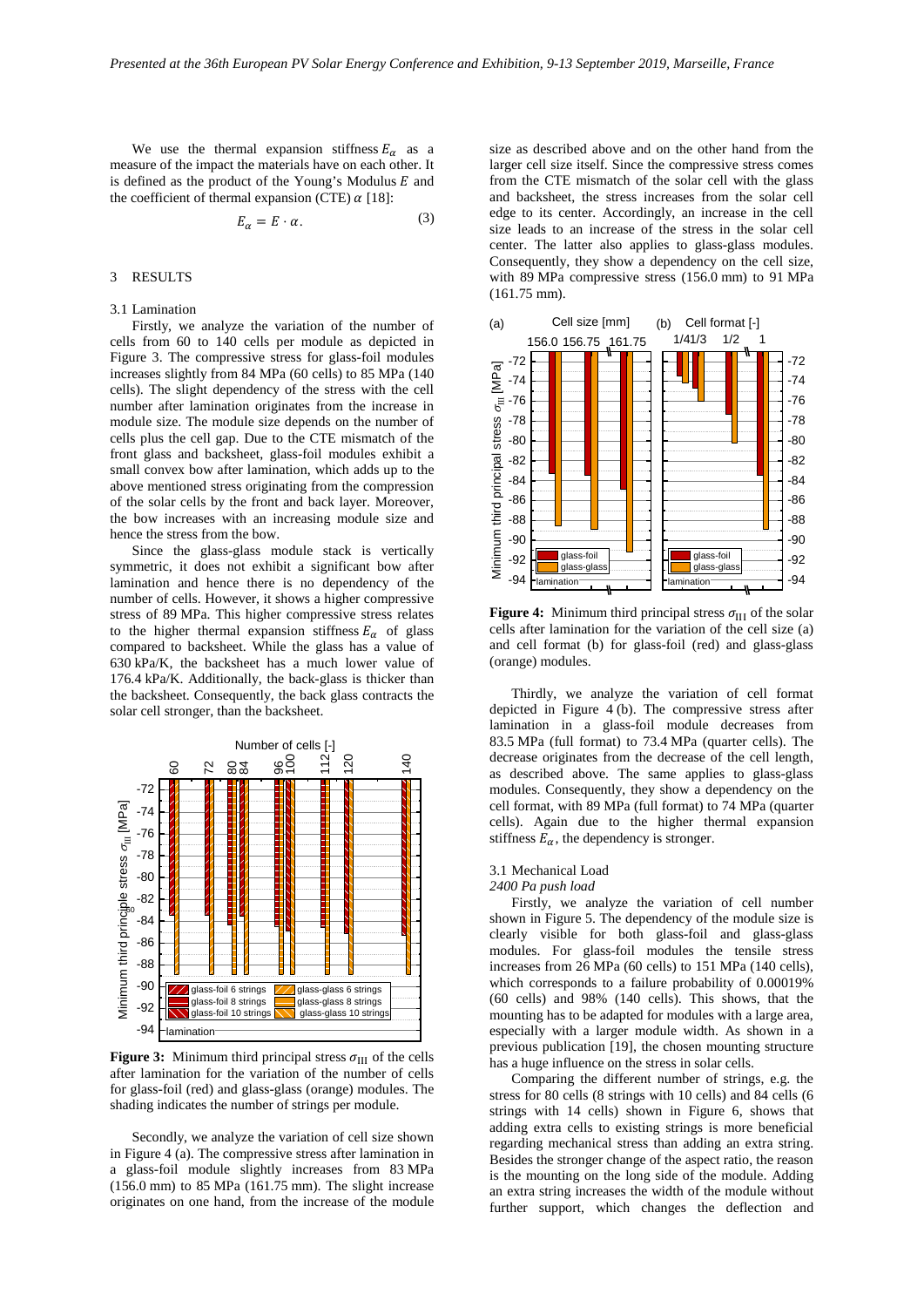We use the thermal expansion stiffness  $E_{\alpha}$  as a measure of the impact the materials have on each other. It is defined as the product of the Young's Modulus  $E$  and the coefficient of thermal expansion (CTE)  $\alpha$  [\[18\]:](#page-5-14)

$$
E_{\alpha} = E \cdot \alpha. \tag{3}
$$

#### 3 RESULTS

#### 3.1 Lamination

Firstly, we analyze the variation of the number of cells from 60 to 140 cells per module as depicted in [Figure 3.](#page-2-0) The compressive stress for glass-foil modules increases slightly from 84 MPa (60 cells) to 85 MPa (140 cells). The slight dependency of the stress with the cell number after lamination originates from the increase in module size. The module size depends on the number of cells plus the cell gap. Due to the CTE mismatch of the front glass and backsheet, glass-foil modules exhibit a small convex bow after lamination, which adds up to the above mentioned stress originating from the compression of the solar cells by the front and back layer. Moreover, the bow increases with an increasing module size and hence the stress from the bow.

Since the glass-glass module stack is vertically symmetric, it does not exhibit a significant bow after lamination and hence there is no dependency of the number of cells. However, it shows a higher compressive stress of 89 MPa. This higher compressive stress relates to the higher thermal expansion stiffness  $E_{\alpha}$  of glass compared to backsheet. While the glass has a value of 630 kPa/K, the backsheet has a much lower value of 176.4 kPa/K. Additionally, the back-glass is thicker than the backsheet. Consequently, the back glass contracts the solar cell stronger, than the backsheet.



<span id="page-2-0"></span>**Figure 3:** Minimum third principal stress  $\sigma_{III}$  of the cells after lamination for the variation of the number of cells for glass-foil (red) and glass-glass (orange) modules. The shading indicates the number of strings per module.

Secondly, we analyze the variation of cell size shown in [Figure 4](#page-2-1) (a). The compressive stress after lamination in a glass-foil module slightly increases from 83 MPa (156.0 mm) to 85 MPa (161.75 mm). The slight increase originates on one hand, from the increase of the module

size as described above and on the other hand from the larger cell size itself. Since the compressive stress comes from the CTE mismatch of the solar cell with the glass and backsheet, the stress increases from the solar cell edge to its center. Accordingly, an increase in the cell size leads to an increase of the stress in the solar cell center. The latter also applies to glass-glass modules. Consequently, they show a dependency on the cell size, with 89 MPa compressive stress (156.0 mm) to 91 MPa (161.75 mm).



<span id="page-2-1"></span>**Figure 4:** Minimum third principal stress  $\sigma_{III}$  of the solar cells after lamination for the variation of the cell size (a) and cell format (b) for glass-foil (red) and glass-glass (orange) modules.

Thirdly, we analyze the variation of cell format depicted in [Figure 4](#page-2-1) (b). The compressive stress after lamination in a glass-foil module decreases from 83.5 MPa (full format) to 73.4 MPa (quarter cells). The decrease originates from the decrease of the cell length, as described above. The same applies to glass-glass modules. Consequently, they show a dependency on the cell format, with 89 MPa (full format) to 74 MPa (quarter cells). Again due to the higher thermal expansion stiffness  $E_{\alpha}$ , the dependency is stronger.

# 3.1 Mechanical Load

#### *2400 Pa push load*

Firstly, we analyze the variation of cell number shown in [Figure 5.](#page-3-0) The dependency of the module size is clearly visible for both glass-foil and glass-glass modules. For glass-foil modules the tensile stress increases from 26 MPa (60 cells) to 151 MPa (140 cells), which corresponds to a failure probability of 0.00019% (60 cells) and 98% (140 cells). This shows, that the mounting has to be adapted for modules with a large area, especially with a larger module width. As shown in a previous publication [\[19\],](#page-5-15) the chosen mounting structure has a huge influence on the stress in solar cells.

Comparing the different number of strings, e.g. the stress for 80 cells (8 strings with 10 cells) and 84 cells (6 strings with 14 cells) shown in [Figure 6,](#page-3-1) shows that adding extra cells to existing strings is more beneficial regarding mechanical stress than adding an extra string. Besides the stronger change of the aspect ratio, the reason is the mounting on the long side of the module. Adding an extra string increases the width of the module without further support, which changes the deflection and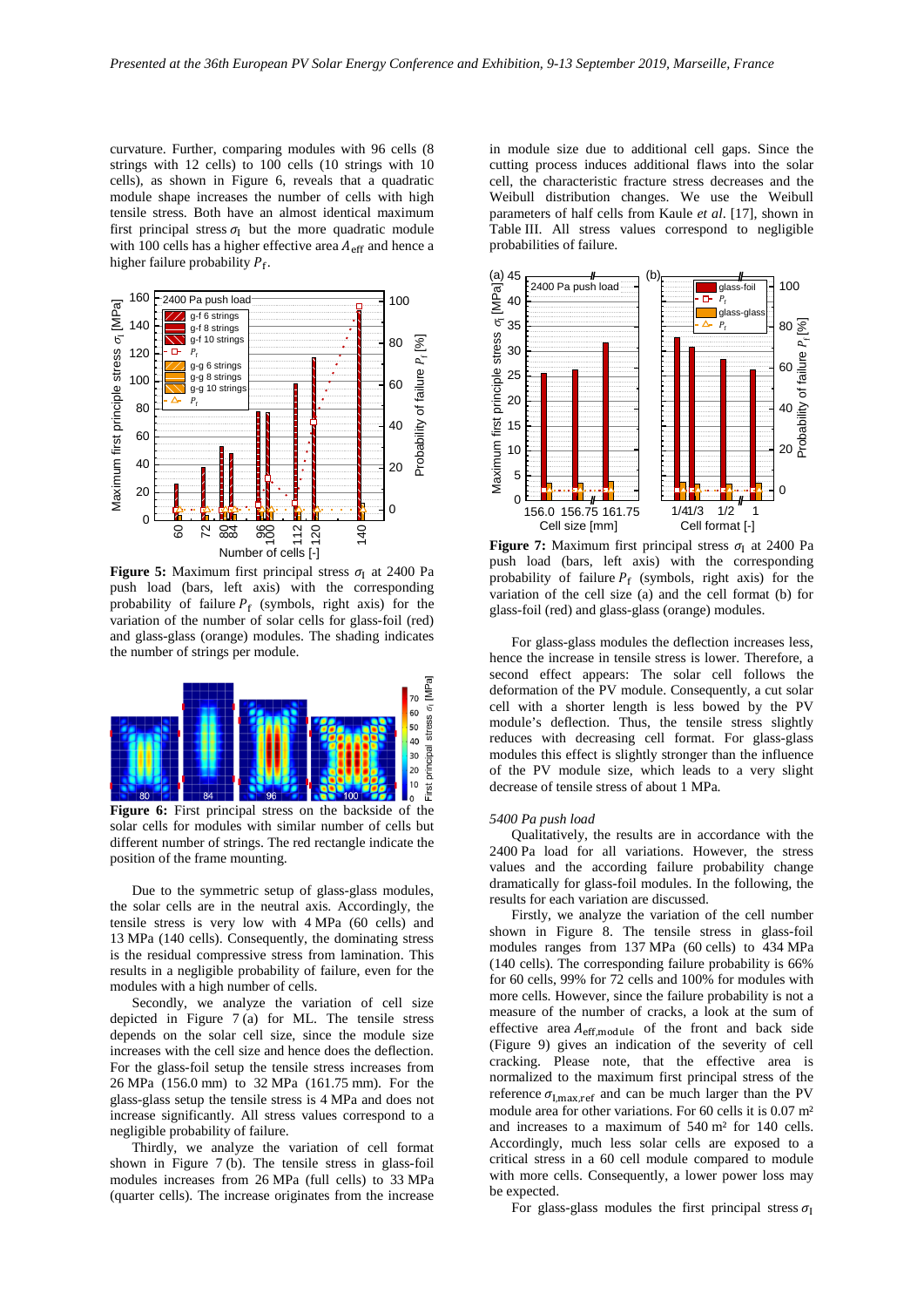curvature. Further, comparing modules with 96 cells (8 strings with 12 cells) to 100 cells (10 strings with 10 cells), as shown in [Figure 6,](#page-3-1) reveals that a quadratic module shape increases the number of cells with high tensile stress. Both have an almost identical maximum first principal stress  $\sigma_I$  but the more quadratic module with 100 cells has a higher effective area  $A<sub>eff</sub>$  and hence a higher failure probability  $P_f$ .



<span id="page-3-0"></span>**Figure 5:** Maximum first principal stress  $\sigma_I$  at 2400 Pa push load (bars, left axis) with the corresponding probability of failure  $P_f$  (symbols, right axis) for the variation of the number of solar cells for glass-foil (red) and glass-glass (orange) modules. The shading indicates the number of strings per module.



<span id="page-3-1"></span>**Figure 6:** First principal stress on the backside of the solar cells for modules with similar number of cells but different number of strings. The red rectangle indicate the position of the frame mounting.

Due to the symmetric setup of glass-glass modules, the solar cells are in the neutral axis. Accordingly, the tensile stress is very low with 4 MPa (60 cells) and 13 MPa (140 cells). Consequently, the dominating stress is the residual compressive stress from lamination. This results in a negligible probability of failure, even for the modules with a high number of cells.

Secondly, we analyze the variation of cell size depicted in [Figure 7](#page-3-2) (a) for ML. The tensile stress depends on the solar cell size, since the module size increases with the cell size and hence does the deflection. For the glass-foil setup the tensile stress increases from 26 MPa (156.0 mm) to 32 MPa (161.75 mm). For the glass-glass setup the tensile stress is 4 MPa and does not increase significantly. All stress values correspond to a negligible probability of failure.

Thirdly, we analyze the variation of cell format shown in [Figure 7](#page-3-2) (b). The tensile stress in glass-foil modules increases from 26 MPa (full cells) to 33 MPa (quarter cells). The increase originates from the increase

in module size due to additional cell gaps. Since the cutting process induces additional flaws into the solar cell, the characteristic fracture stress decreases and the Weibull distribution changes. We use the Weibull parameters of half cells from Kaule *et al*. [\[17\],](#page-5-13) shown in Table III. All stress values correspond to negligible probabilities of failure.



<span id="page-3-2"></span>**Figure 7:** Maximum first principal stress  $\sigma_I$  at 2400 Pa push load (bars, left axis) with the corresponding probability of failure  $P_f$  (symbols, right axis) for the variation of the cell size (a) and the cell format (b) for glass-foil (red) and glass-glass (orange) modules.

For glass-glass modules the deflection increases less, hence the increase in tensile stress is lower. Therefore, a second effect appears: The solar cell follows the deformation of the PV module. Consequently, a cut solar cell with a shorter length is less bowed by the PV module's deflection. Thus, the tensile stress slightly reduces with decreasing cell format. For glass-glass modules this effect is slightly stronger than the influence of the PV module size, which leads to a very slight decrease of tensile stress of about 1 MPa.

### *5400 Pa push load*

Qualitatively, the results are in accordance with the 2400 Pa load for all variations. However, the stress values and the according failure probability change dramatically for glass-foil modules. In the following, the results for each variation are discussed.

Firstly, we analyze the variation of the cell number shown in [Figure 8.](#page-4-0) The tensile stress in glass-foil modules ranges from 137 MPa (60 cells) to 434 MPa (140 cells). The corresponding failure probability is 66% for 60 cells, 99% for 72 cells and 100% for modules with more cells. However, since the failure probability is not a measure of the number of cracks, a look at the sum of effective area  $A_{\text{eff,module}}$  of the front and back side [\(Figure 9\)](#page-4-1) gives an indication of the severity of cell cracking. Please note, that the effective area is normalized to the maximum first principal stress of the reference  $\sigma_{I,\text{max,ref}}$  and can be much larger than the PV module area for other variations. For 60 cells it is 0.07 m² and increases to a maximum of 540 m² for 140 cells. Accordingly, much less solar cells are exposed to a critical stress in a 60 cell module compared to module with more cells. Consequently, a lower power loss may be expected.

For glass-glass modules the first principal stress  $\sigma_I$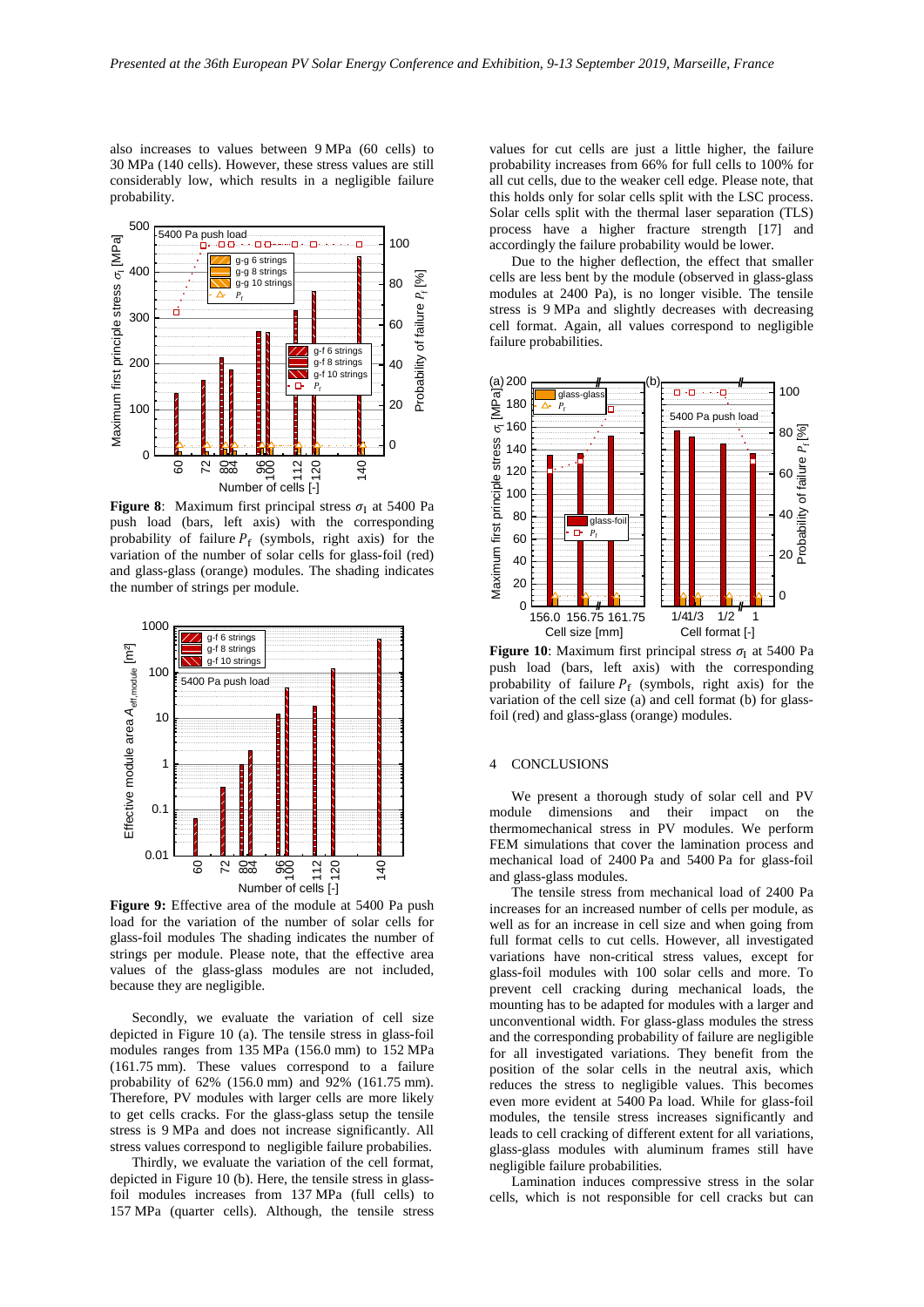also increases to values between 9 MPa (60 cells) to 30 MPa (140 cells). However, these stress values are still considerably low, which results in a negligible failure probability.



<span id="page-4-0"></span>**Figure 8**: Maximum first principal stress  $\sigma_I$  at 5400 Pa push load (bars, left axis) with the corresponding probability of failure  $P_f$  (symbols, right axis) for the variation of the number of solar cells for glass-foil (red) and glass-glass (orange) modules. The shading indicates the number of strings per module.



<span id="page-4-1"></span>**Figure 9:** Effective area of the module at 5400 Pa push load for the variation of the number of solar cells for glass-foil modules The shading indicates the number of strings per module. Please note, that the effective area values of the glass-glass modules are not included, because they are negligible.

Secondly, we evaluate the variation of cell size depicted in [Figure 10](#page-4-2) (a). The tensile stress in glass-foil modules ranges from 135 MPa (156.0 mm) to 152 MPa (161.75 mm). These values correspond to a failure probability of 62% (156.0 mm) and 92% (161.75 mm). Therefore, PV modules with larger cells are more likely to get cells cracks. For the glass-glass setup the tensile stress is 9 MPa and does not increase significantly. All stress values correspond to negligible failure probabilies.

Thirdly, we evaluate the variation of the cell format, depicted in [Figure 10](#page-4-2) (b). Here, the tensile stress in glassfoil modules increases from 137 MPa (full cells) to 157 MPa (quarter cells). Although, the tensile stress

values for cut cells are just a little higher, the failure probability increases from 66% for full cells to 100% for all cut cells, due to the weaker cell edge. Please note, that this holds only for solar cells split with the LSC process. Solar cells split with the thermal laser separation (TLS) process have a higher fracture strength [\[17\]](#page-5-13) and accordingly the failure probability would be lower.

Due to the higher deflection, the effect that smaller cells are less bent by the module (observed in glass-glass modules at 2400 Pa), is no longer visible. The tensile stress is 9 MPa and slightly decreases with decreasing cell format. Again, all values correspond to negligible failure probabilities.



<span id="page-4-2"></span>**Figure 10**: Maximum first principal stress  $\sigma$ <sub>I</sub> at 5400 Pa push load (bars, left axis) with the corresponding probability of failure  $P_f$  (symbols, right axis) for the variation of the cell size (a) and cell format (b) for glassfoil (red) and glass-glass (orange) modules.

## 4 CONCLUSIONS

We present a thorough study of solar cell and PV module dimensions and their impact on the thermomechanical stress in PV modules. We perform FEM simulations that cover the lamination process and mechanical load of 2400 Pa and 5400 Pa for glass-foil and glass-glass modules.

The tensile stress from mechanical load of 2400 Pa increases for an increased number of cells per module, as well as for an increase in cell size and when going from full format cells to cut cells. However, all investigated variations have non-critical stress values, except for glass-foil modules with 100 solar cells and more. To prevent cell cracking during mechanical loads, the mounting has to be adapted for modules with a larger and unconventional width. For glass-glass modules the stress and the corresponding probability of failure are negligible for all investigated variations. They benefit from the position of the solar cells in the neutral axis, which reduces the stress to negligible values. This becomes even more evident at 5400 Pa load. While for glass-foil modules, the tensile stress increases significantly and leads to cell cracking of different extent for all variations, glass-glass modules with aluminum frames still have negligible failure probabilities.

Lamination induces compressive stress in the solar cells, which is not responsible for cell cracks but can